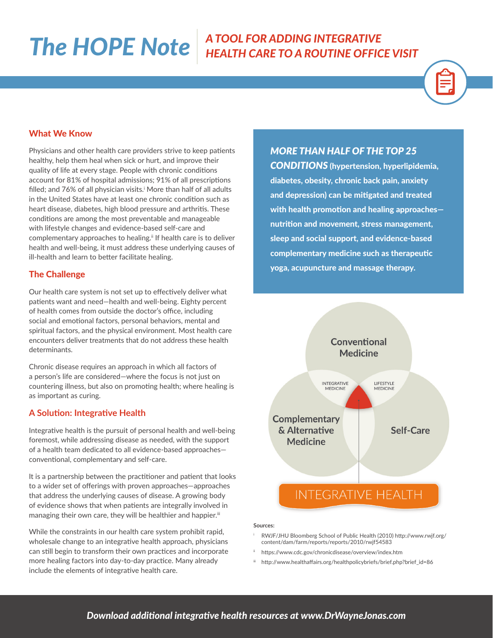## *The HOPE Note A TOOL FOR ADDING INTEGRATIVE HEALTH CARE TO A ROUTINE OFFICE VISIT*



#### What We Know

Physicians and other health care providers strive to keep patients healthy, help them heal when sick or hurt, and improve their quality of life at every stage. People with chronic conditions account for 81% of hospital admissions; 91% of all prescriptions filled; and 76% of all physician visits.<sup>i</sup> More than half of all adults in the United States have at least one chronic condition such as heart disease, diabetes, high blood pressure and arthritis. These conditions are among the most preventable and manageable with lifestyle changes and evidence-based self-care and complementary approaches to healing.<sup>ii</sup> If health care is to deliver health and well-being, it must address these underlying causes of ill-health and learn to better facilitate healing.

#### The Challenge

Our health care system is not set up to effectively deliver what patients want and need—health and well-being. Eighty percent of health comes from outside the doctor's office, including social and emotional factors, personal behaviors, mental and spiritual factors, and the physical environment. Most health care encounters deliver treatments that do not address these health determinants.

Chronic disease requires an approach in which all factors of a person's life are considered—where the focus is not just on countering illness, but also on promoting health; where healing is as important as curing.

### **A Solution: Integrative Health**

Integrative health is the pursuit of personal health and well-being foremost, while addressing disease as needed, with the support of a health team dedicated to all evidence-based approaches conventional, complementary and self-care.

It is a partnership between the practitioner and patient that looks to a wider set of offerings with proven approaches—approaches that address the underlying causes of disease. A growing body of evidence shows that when patients are integrally involved in managing their own care, they will be healthier and happier.<sup>iii</sup>

While the constraints in our health care system prohibit rapid, wholesale change to an integrative health approach, physicians can still begin to transform their own practices and incorporate more healing factors into day-to-day practice. Many already include the elements of integrative health care.

*MORE THAN HALF OF THE TOP 25* 

*CONDITIONS* (hypertension, hyperlipidemia, diabetes, obesity, chronic back pain, anxiety and depression) can be mitigated and treated with health promotion and healing approaches nutrition and movement, stress management, sleep and social support, and evidence-based complementary medicine such as therapeutic yoga, acupuncture and massage therapy.



#### **Sources:**

- RWJF/JHU Bloomberg School of Public Health (2010) http://www.rwjf.org/ content/dam/farm/reports/reports/2010/rwjf54583
- ii https://www.cdc.gov/chronicdisease/overview/index.htm
- iii http://www.healthaffairs.org/healthpolicybriefs/brief.php?brief\_id=86